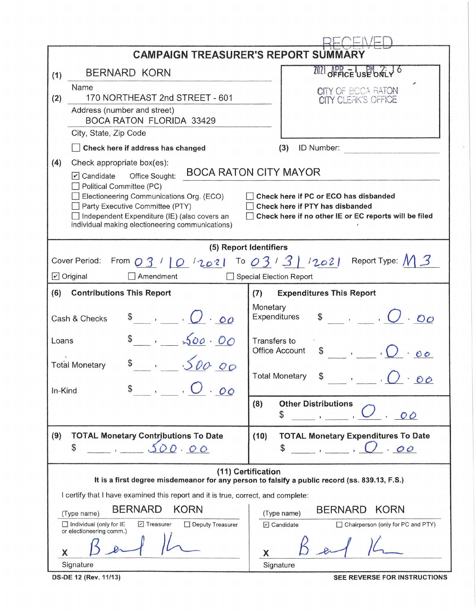|                                                                                                  | <b>CAMPAIGN TREASURER'S REPORT SUMMARY</b>                                                                          |  |  |  |  |  |
|--------------------------------------------------------------------------------------------------|---------------------------------------------------------------------------------------------------------------------|--|--|--|--|--|
| <b>BERNARD KORN</b><br>(1)                                                                       | 2021 OFFICE USE ONLY O                                                                                              |  |  |  |  |  |
| Name                                                                                             | CITY OF BOCA RATON                                                                                                  |  |  |  |  |  |
| 170 NORTHEAST 2nd STREET - 601<br>(2)                                                            | <b>CITY CLERK'S OFFICE</b>                                                                                          |  |  |  |  |  |
| Address (number and street)<br><b>BOCA RATON FLORIDA 33429</b>                                   |                                                                                                                     |  |  |  |  |  |
| City, State, Zip Code                                                                            |                                                                                                                     |  |  |  |  |  |
| Check here if address has changed                                                                | (3)<br>ID Number:                                                                                                   |  |  |  |  |  |
| (4)<br>Check appropriate box(es):                                                                |                                                                                                                     |  |  |  |  |  |
| Office Sought:<br>$\triangleright$ Candidate                                                     | <b>BOCA RATON CITY MAYOR</b>                                                                                        |  |  |  |  |  |
| Political Committee (PC)<br>Electioneering Communications Org. (ECO)                             | Check here if PC or ECO has disbanded                                                                               |  |  |  |  |  |
| Party Executive Committee (PTY)                                                                  | Check here if PTY has disbanded                                                                                     |  |  |  |  |  |
| Independent Expenditure (IE) (also covers an<br>individual making electioneering communications) | Check here if no other IE or EC reports will be filed                                                               |  |  |  |  |  |
|                                                                                                  |                                                                                                                     |  |  |  |  |  |
|                                                                                                  | (5) Report Identifiers                                                                                              |  |  |  |  |  |
|                                                                                                  | Cover Period: From $03/10/2021$ To $03/3/12021$ Report Type: $M3$                                                   |  |  |  |  |  |
| $\triangleright$ Original<br>Amendment                                                           | <b>Special Election Report</b>                                                                                      |  |  |  |  |  |
| (6)<br><b>Contributions This Report</b>                                                          | <b>Expenditures This Report</b><br>(7)                                                                              |  |  |  |  |  |
| $\bullet$ , $\bullet$ , $\bullet$<br>Cash & Checks                                               | Monetary<br>$\sqrt[3]{\phantom{a}}$ , $\sqrt[3]{\phantom{a}}$ , $\sqrt[3]{\phantom{a}}$<br>Expenditures             |  |  |  |  |  |
| $s$ , 500.00<br>Loans                                                                            | Transfers to<br>$\overline{\phantom{a}}$ , $\overline{\phantom{a}}$<br><b>Office Account</b><br>\$                  |  |  |  |  |  |
| 500.00<br><b>Total Monetary</b>                                                                  |                                                                                                                     |  |  |  |  |  |
| $\overline{U}$ $\overline{U}$ $\overline{O}$<br>In-Kind                                          | <b>Total Monetary</b><br>\$<br>$\overline{\phantom{a}}$<br>$\mathcal{O} \mathcal{O}$                                |  |  |  |  |  |
|                                                                                                  | <b>Other Distributions</b><br>(8)                                                                                   |  |  |  |  |  |
|                                                                                                  | \$<br>O                                                                                                             |  |  |  |  |  |
| (9)<br><b>TOTAL Monetary Contributions To Date</b>                                               | <b>TOTAL Monetary Expenditures To Date</b><br>(10)                                                                  |  |  |  |  |  |
| \$<br>00.00                                                                                      | \$<br>. 00                                                                                                          |  |  |  |  |  |
|                                                                                                  | (11) Certification<br>It is a first degree misdemeanor for any person to falsify a public record (ss. 839.13, F.S.) |  |  |  |  |  |
| I certify that I have examined this report and it is true, correct, and complete:                |                                                                                                                     |  |  |  |  |  |
| <b>BERNARD</b><br><b>KORN</b><br><b>BERNARD</b><br><b>KORN</b>                                   |                                                                                                                     |  |  |  |  |  |
| (Type name)<br>$\Box$ Individual (only for IE<br>$\triangleright$ Treasurer<br>Deputy Treasurer  | (Type name)<br>$\Box$ Candidate<br>Chairperson (only for PC and PTY)                                                |  |  |  |  |  |
| or electioneering comm.)                                                                         |                                                                                                                     |  |  |  |  |  |
| Х                                                                                                | x                                                                                                                   |  |  |  |  |  |
| Signature                                                                                        | Signature                                                                                                           |  |  |  |  |  |

**DS-DE 12 (Rev. 11/13)** SEE REVERSE FOR INSTRUCTIONS